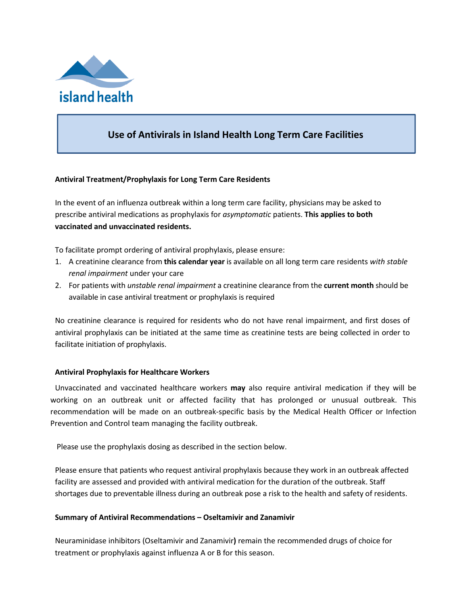

# **Use of Antivirals in Island Health Long Term Care Facilities**

## **Antiviral Treatment/Prophylaxis for Long Term Care Residents**

In the event of an influenza outbreak within a long term care facility, physicians may be asked to prescribe antiviral medications as prophylaxis for *asymptomatic* patients. **This applies to both vaccinated and unvaccinated residents.**

To facilitate prompt ordering of antiviral prophylaxis, please ensure:

- 1. A creatinine clearance from **this calendar year** is available on all long term care residents *with stable renal impairment* under your care
- 2. For patients with *unstable renal impairment* a creatinine clearance from the **current month** should be available in case antiviral treatment or prophylaxis is required

No creatinine clearance is required for residents who do not have renal impairment, and first doses of antiviral prophylaxis can be initiated at the same time as creatinine tests are being collected in order to facilitate initiation of prophylaxis.

## **Antiviral Prophylaxis for Healthcare Workers**

Unvaccinated and vaccinated healthcare workers **may** also require antiviral medication if they will be working on an outbreak unit or affected facility that has prolonged or unusual outbreak. This recommendation will be made on an outbreak‐specific basis by the Medical Health Officer or Infection Prevention and Control team managing the facility outbreak.

Please use the prophylaxis dosing as described in the section below.

Please ensure that patients who request antiviral prophylaxis because they work in an outbreak affected facility are assessed and provided with antiviral medication for the duration of the outbreak. Staff shortages due to preventable illness during an outbreak pose a risk to the health and safety of residents.

## **Summary of Antiviral Recommendations – Oseltamivir and Zanamivir**

Neuraminidase inhibitors (Oseltamivir and Zanamivir**)** remain the recommended drugs of choice for treatment or prophylaxis against influenza A or B for this season.